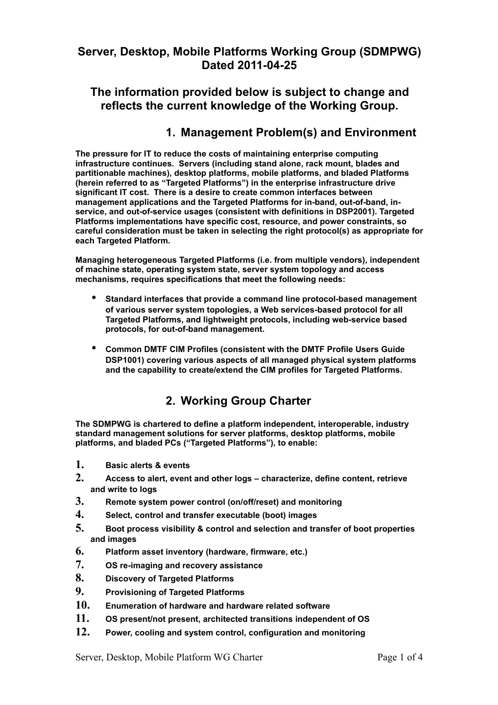# **Server, Desktop, Mobile Platforms Working Group (SDMPWG) Dated 2011-04-25**

**The information provided below is subject to change and reflects the current knowledge of the Working Group.**

## **1. Management Problem(s) and Environment**

**The pressure for IT to reduce the costs of maintaining enterprise computing infrastructure continues. Servers (including stand alone, rack mount, blades and partitionable machines), desktop platforms, mobile platforms, and bladed Platforms (herein referred to as "Targeted Platforms") in the enterprise infrastructure drive significant IT cost. There is a desire to create common interfaces between management applications and the Targeted Platforms for in-band, out-of-band, inservice, and out-of-service usages (consistent with definitions in DSP2001). Targeted Platforms implementations have specific cost, resource, and power constraints, so careful consideration must be taken in selecting the right protocol(s) as appropriate for each Targeted Platform.**

**Managing heterogeneous Targeted Platforms (i.e. from multiple vendors), independent of machine state, operating system state, server system topology and access mechanisms, requires specifications that meet the following needs:** 

- **Standard interfaces that provide a command line protocol-based management of various server system topologies, a Web services-based protocol for all Targeted Platforms, and lightweight protocols, including web-service based protocols, for out-of-band management.**
- **Common DMTF CIM Profiles (consistent with the DMTF Profile Users Guide DSP1001) covering various aspects of all managed physical system platforms and the capability to create/extend the CIM profiles for Targeted Platforms.**

# **2. Working Group Charter**

**The SDMPWG is chartered to define a platform independent, interoperable, industry standard management solutions for server platforms, desktop platforms, mobile platforms, and bladed PCs ("Targeted Platforms"), to enable:** 

- **1. Basic alerts & events**
- **2. Access to alert, event and other logs characterize, define content, retrieve and write to logs**
- **3. Remote system power control (on/off/reset) and monitoring**
- **4. Select, control and transfer executable (boot) images**
- **5. Boot process visibility & control and selection and transfer of boot properties and images**
- **6. Platform asset inventory (hardware, firmware, etc.)**
- **7. OS re-imaging and recovery assistance**
- **8. Discovery of Targeted Platforms**
- **9. Provisioning of Targeted Platforms**
- **10. Enumeration of hardware and hardware related software**
- **11. OS present/not present, architected transitions independent of OS**
- **12. Power, cooling and system control, configuration and monitoring**

Server, Desktop, Mobile Platform WG Charter Page 1 of 4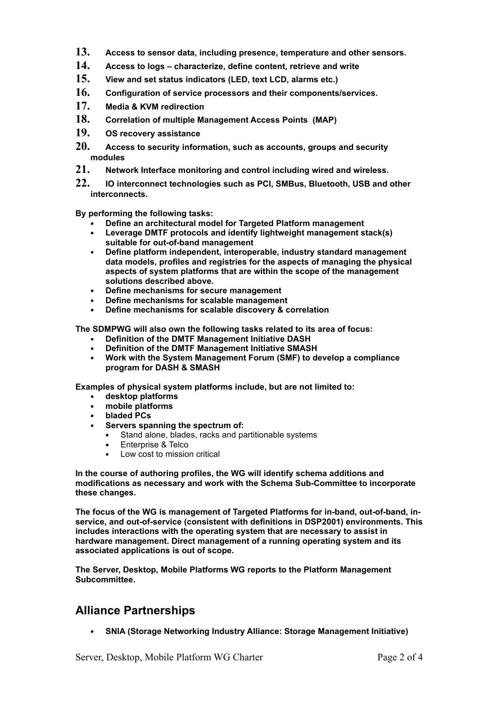- **13. Access to sensor data, including presence, temperature and other sensors.**
- **14. Access to logs characterize, define content, retrieve and write**
- **15. View and set status indicators (LED, text LCD, alarms etc.)**
- **16. Configuration of service processors and their components/services.**
- **17. Media & KVM redirection**
- **18. Correlation of multiple Management Access Points (MAP)**
- **19. OS recovery assistance**
- **20. Access to security information, such as accounts, groups and security modules**
- **21. Network Interface monitoring and control including wired and wireless.**
- **22. IO interconnect technologies such as PCI, SMBus, Bluetooth, USB and other interconnects.**

**By performing the following tasks:**

- **Define an architectural model for Targeted Platform management**
- **Leverage DMTF protocols and identify lightweight management stack(s) suitable for out-of-band management**
- **Define platform independent, interoperable, industry standard management data models, profiles and registries for the aspects of managing the physical aspects of system platforms that are within the scope of the management solutions described above.**
- **Define mechanisms for secure management**
- **Define mechanisms for scalable management**
- **Define mechanisms for scalable discovery & correlation**

**The SDMPWG will also own the following tasks related to its area of focus:**

- **Definition of the DMTF Management Initiative DASH**
- **Definition of the DMTF Management Initiative SMASH**
- **Work with the System Management Forum (SMF) to develop a compliance program for DASH & SMASH**

**Examples of physical system platforms include, but are not limited to:**

- **desktop platforms**
- **mobile platforms**
- **bladed PCs**
- **Servers spanning the spectrum of:**
	- Stand alone, blades, racks and partitionable systems
	- Enterprise & Telco
	- Low cost to mission critical

**In the course of authoring profiles, the WG will identify schema additions and modifications as necessary and work with the Schema Sub-Committee to incorporate these changes.**

**The focus of the WG is management of Targeted Platforms for in-band, out-of-band, inservice, and out-of-service (consistent with definitions in DSP2001) environments. This includes interactions with the operating system that are necessary to assist in hardware management. Direct management of a running operating system and its associated applications is out of scope.**

**The Server, Desktop, Mobile Platforms WG reports to the Platform Management Subcommittee.**

#### **Alliance Partnerships**

• **SNIA (Storage Networking Industry Alliance: Storage Management Initiative)**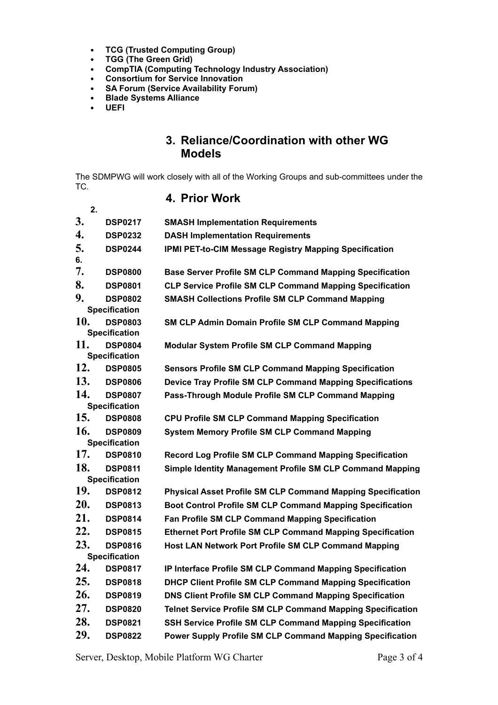- **TCG (Trusted Computing Group)**
- **TGG (The Green Grid)**
- **CompTIA (Computing Technology Industry Association)**
- **Consortium for Service Innovation**
- **SA Forum (Service Availability Forum)**
- **Blade Systems Alliance**
- **UEFI**

**2.**

# **3. Reliance/Coordination with other WG Models**

The SDMPWG will work closely with all of the Working Groups and sub-committees under the TC.

#### **4. Prior Work**

| 3.  | <b>DSP0217</b>                         | <b>SMASH Implementation Requirements</b>                           |
|-----|----------------------------------------|--------------------------------------------------------------------|
| 4.  | <b>DSP0232</b>                         | <b>DASH Implementation Requirements</b>                            |
| 5.  | <b>DSP0244</b>                         | IPMI PET-to-CIM Message Registry Mapping Specification             |
| 6.  |                                        |                                                                    |
| 7.  | <b>DSP0800</b>                         | <b>Base Server Profile SM CLP Command Mapping Specification</b>    |
| 8.  | <b>DSP0801</b>                         | <b>CLP Service Profile SM CLP Command Mapping Specification</b>    |
| 9.  | <b>DSP0802</b>                         | <b>SMASH Collections Profile SM CLP Command Mapping</b>            |
|     | <b>Specification</b>                   |                                                                    |
| 10. | <b>DSP0803</b>                         | <b>SM CLP Admin Domain Profile SM CLP Command Mapping</b>          |
|     | <b>Specification</b>                   |                                                                    |
| 11. | <b>DSP0804</b><br><b>Specification</b> | <b>Modular System Profile SM CLP Command Mapping</b>               |
| 12. | <b>DSP0805</b>                         | <b>Sensors Profile SM CLP Command Mapping Specification</b>        |
| 13. | <b>DSP0806</b>                         | Device Tray Profile SM CLP Command Mapping Specifications          |
| 14. |                                        |                                                                    |
|     | <b>DSP0807</b><br><b>Specification</b> | Pass-Through Module Profile SM CLP Command Mapping                 |
| 15. | <b>DSP0808</b>                         | <b>CPU Profile SM CLP Command Mapping Specification</b>            |
| 16. | <b>DSP0809</b>                         | <b>System Memory Profile SM CLP Command Mapping</b>                |
|     | <b>Specification</b>                   |                                                                    |
| 17. | <b>DSP0810</b>                         | <b>Record Log Profile SM CLP Command Mapping Specification</b>     |
| 18. | <b>DSP0811</b>                         | Simple Identity Management Profile SM CLP Command Mapping          |
|     | <b>Specification</b>                   |                                                                    |
| 19. | <b>DSP0812</b>                         | <b>Physical Asset Profile SM CLP Command Mapping Specification</b> |
| 20. | <b>DSP0813</b>                         | <b>Boot Control Profile SM CLP Command Mapping Specification</b>   |
| 21. | <b>DSP0814</b>                         | <b>Fan Profile SM CLP Command Mapping Specification</b>            |
| 22. | <b>DSP0815</b>                         | <b>Ethernet Port Profile SM CLP Command Mapping Specification</b>  |
| 23. | <b>DSP0816</b>                         | <b>Host LAN Network Port Profile SM CLP Command Mapping</b>        |
|     | <b>Specification</b>                   |                                                                    |
| 24. | <b>DSP0817</b>                         | IP Interface Profile SM CLP Command Mapping Specification          |
| 25. | <b>DSP0818</b>                         | <b>DHCP Client Profile SM CLP Command Mapping Specification</b>    |
| 26. | <b>DSP0819</b>                         | <b>DNS Client Profile SM CLP Command Mapping Specification</b>     |
| 27. | <b>DSP0820</b>                         | <b>Telnet Service Profile SM CLP Command Mapping Specification</b> |
| 28. | <b>DSP0821</b>                         | SSH Service Profile SM CLP Command Mapping Specification           |
| 29. | <b>DSP0822</b>                         | <b>Power Supply Profile SM CLP Command Mapping Specification</b>   |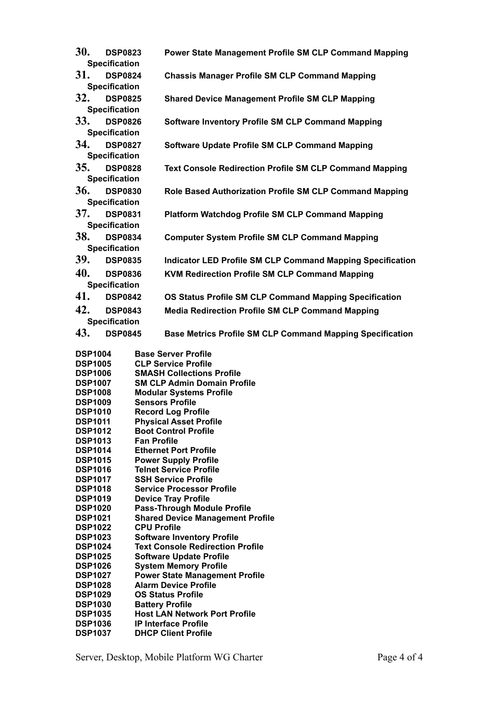| <b>30.</b>                                           | <b>DSP0823</b>                         | Power State Management Profile SM CLP Command Mapping                     |  |  |
|------------------------------------------------------|----------------------------------------|---------------------------------------------------------------------------|--|--|
| 31.                                                  | <b>Specification</b><br><b>DSP0824</b> | <b>Chassis Manager Profile SM CLP Command Mapping</b>                     |  |  |
|                                                      | <b>Specification</b>                   |                                                                           |  |  |
| 32.                                                  | <b>DSP0825</b><br><b>Specification</b> | <b>Shared Device Management Profile SM CLP Mapping</b>                    |  |  |
| 33. DSP0826<br><b>Specification</b>                  |                                        | <b>Software Inventory Profile SM CLP Command Mapping</b>                  |  |  |
| <b>34.</b><br><b>DSP0827</b><br><b>Specification</b> |                                        | Software Update Profile SM CLP Command Mapping                            |  |  |
| 35.<br><b>DSP0828</b><br><b>Specification</b>        |                                        | <b>Text Console Redirection Profile SM CLP Command Mapping</b>            |  |  |
| 36. DSP0830<br><b>Specification</b>                  |                                        | Role Based Authorization Profile SM CLP Command Mapping                   |  |  |
| 37.<br><b>DSP0831</b><br><b>Specification</b>        |                                        | <b>Platform Watchdog Profile SM CLP Command Mapping</b>                   |  |  |
| <b>38.</b>                                           | <b>DSP0834</b>                         | <b>Computer System Profile SM CLP Command Mapping</b>                     |  |  |
|                                                      | <b>Specification</b>                   |                                                                           |  |  |
|                                                      | 39. DSP0835                            | <b>Indicator LED Profile SM CLP Command Mapping Specification</b>         |  |  |
| 40.                                                  | <b>DSP0836</b>                         | <b>KVM Redirection Profile SM CLP Command Mapping</b>                     |  |  |
| <b>Specification</b>                                 |                                        |                                                                           |  |  |
| 41.                                                  | <b>DSP0842</b>                         | OS Status Profile SM CLP Command Mapping Specification                    |  |  |
| 42.                                                  | <b>DSP0843</b>                         | <b>Media Redirection Profile SM CLP Command Mapping</b>                   |  |  |
| <b>Specification</b>                                 |                                        |                                                                           |  |  |
| 43.                                                  | <b>DSP0845</b>                         | <b>Base Metrics Profile SM CLP Command Mapping Specification</b>          |  |  |
|                                                      |                                        |                                                                           |  |  |
| <b>DSP1004</b>                                       |                                        | <b>Base Server Profile</b>                                                |  |  |
| <b>DSP1005</b>                                       |                                        | <b>CLP Service Profile</b>                                                |  |  |
| <b>DSP1006</b><br><b>DSP1007</b>                     |                                        | <b>SMASH Collections Profile</b><br><b>SM CLP Admin Domain Profile</b>    |  |  |
| <b>DSP1008</b>                                       |                                        | <b>Modular Systems Profile</b>                                            |  |  |
| <b>DSP1009</b>                                       |                                        | <b>Sensors Profile</b>                                                    |  |  |
| <b>DSP1010</b>                                       |                                        | <b>Record Log Profile</b>                                                 |  |  |
| <b>DSP1011</b>                                       |                                        | <b>Physical Asset Profile</b>                                             |  |  |
| <b>DSP1012</b>                                       |                                        | <b>Boot Control Profile</b>                                               |  |  |
| <b>DSP1013</b>                                       |                                        | <b>Fan Profile</b>                                                        |  |  |
| <b>DSP1014</b>                                       |                                        | <b>Ethernet Port Profile</b>                                              |  |  |
| <b>DSP1015</b>                                       |                                        | <b>Power Supply Profile</b>                                               |  |  |
| <b>DSP1016</b><br><b>DSP1017</b>                     |                                        | <b>Telnet Service Profile</b><br><b>SSH Service Profile</b>               |  |  |
| <b>DSP1018</b>                                       |                                        | <b>Service Processor Profile</b>                                          |  |  |
| <b>DSP1019</b>                                       |                                        | <b>Device Tray Profile</b>                                                |  |  |
| <b>DSP1020</b>                                       |                                        | <b>Pass-Through Module Profile</b>                                        |  |  |
| <b>DSP1021</b>                                       |                                        | <b>Shared Device Management Profile</b>                                   |  |  |
| <b>DSP1022</b>                                       |                                        | <b>CPU Profile</b>                                                        |  |  |
| <b>DSP1023</b>                                       |                                        | <b>Software Inventory Profile</b>                                         |  |  |
| <b>DSP1024</b><br><b>DSP1025</b>                     |                                        | <b>Text Console Redirection Profile</b><br><b>Software Update Profile</b> |  |  |
| <b>DSP1026</b>                                       |                                        | <b>System Memory Profile</b>                                              |  |  |
| <b>DSP1027</b>                                       |                                        | <b>Power State Management Profile</b>                                     |  |  |
| <b>DSP1028</b>                                       |                                        | <b>Alarm Device Profile</b>                                               |  |  |
| <b>DSP1029</b>                                       |                                        | <b>OS Status Profile</b>                                                  |  |  |
| <b>DSP1030</b>                                       |                                        | <b>Battery Profile</b>                                                    |  |  |
| <b>DSP1035</b>                                       |                                        | <b>Host LAN Network Port Profile</b>                                      |  |  |
| <b>DSP1036</b><br><b>DSP1037</b>                     |                                        | <b>IP Interface Profile</b><br><b>DHCP Client Profile</b>                 |  |  |
|                                                      |                                        |                                                                           |  |  |